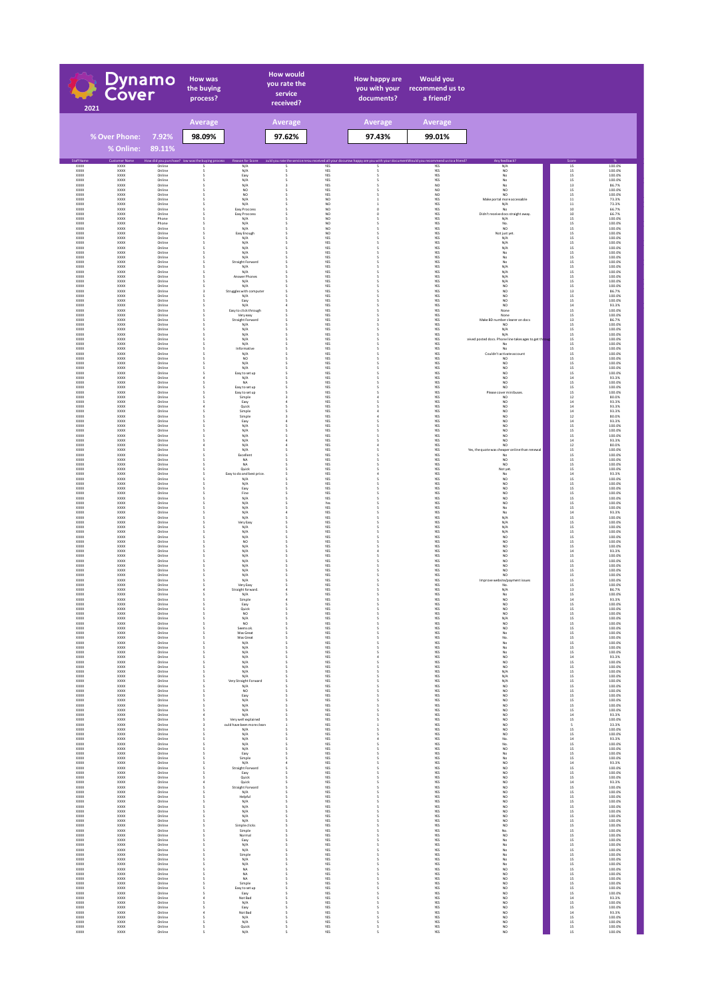| Dynamo<br>Cover<br>2021                                         |                                            | <b>How was</b><br>the buying<br>process? |                                                  | <b>How would</b><br>you rate the<br>service<br>received?              |         | How happy are<br>you with your<br>documents? | <b>Would you</b><br>recommend us to<br>a friend?                                                        |                              |                                                                           |                                                                                    |                                      |
|-----------------------------------------------------------------|--------------------------------------------|------------------------------------------|--------------------------------------------------|-----------------------------------------------------------------------|---------|----------------------------------------------|---------------------------------------------------------------------------------------------------------|------------------------------|---------------------------------------------------------------------------|------------------------------------------------------------------------------------|--------------------------------------|
|                                                                 |                                            |                                          | <b>Average</b>                                   |                                                                       | Average |                                              | Average                                                                                                 | Average                      |                                                                           |                                                                                    |                                      |
|                                                                 | % Over Phone:<br>% Online:                 | 7.92%<br>89.11%                          | 98.09%                                           |                                                                       | 97.62%  |                                              | 97.43%                                                                                                  | 99.01%                       |                                                                           |                                                                                    |                                      |
| <b>Staff Na</b><br>XXXX                                         | tomer N<br>XXXX                            | Online                                   | How did you purchase? low was the buying process | Reason for Sc<br>N/A                                                  |         | YES                                          | ould you rate the service reou received all your documow happy are you with your document Would you rec | mmend us to a friend?<br>YES | Any feedback<br>N/A                                                       |                                                                                    | 100.0%                               |
| XXXX<br><b>XXXX</b><br>XXOX<br>XXXX                             | xxxx<br><b>XXXX</b><br>xxxx<br>xxxx        | Online<br>Online<br>Online<br>Online     |                                                  | $\rm N/A$<br>Easy<br>$N/A$                                            |         | YES<br>YES<br>YES<br>YES                     |                                                                                                         | YES<br>YES<br>YES<br>NO      | $_{\sf NO}$<br>$_{\rm No}^{\rm No}$<br>$_{\sf No}$                        | $\frac{15}{15}$<br>$\begin{array}{c} 15 \\ 15 \end{array}$                         | 100.0%<br>100.0%<br>100.0%<br>86.7%  |
| <b>XXXX</b><br>XXXX<br>XXOX                                     | <b>XXXX</b><br>XXXX<br>xxxx                | Online<br>Online<br>Online               |                                                  | $N/A$<br>NO<br>$_{\rm NO}$<br>$\rm N/A$                               |         | YES<br>YES<br>NO                             |                                                                                                         | NO <sub>1</sub><br>NO<br>YES | NO.<br>NO<br>Make portal more accessable                                  | $13\,$<br>15<br>15<br>$\bf{11}$                                                    | 100.0%<br>100.0%<br>73.3%            |
| XXXX<br>XXXX<br>XXOX                                            | XXXX<br>XXXX<br>xxxx                       | Online<br>Online<br>Online               |                                                  | $\rm N/A$<br>Easy Proccess<br>Easy Proccess                           |         | NO<br>NO<br>NO                               |                                                                                                         | YES<br>YES<br>YES            | N/A<br>No<br>Didn't receive docs straight away                            | $\begin{array}{c} 11 \\ 10 \end{array}$<br>10                                      | 73.3%<br>66.7%<br>66.7%              |
| XXXX<br><b>XXXX</b><br>XXXX                                     | xxxx<br><b>XXXX</b><br>XXXX                | Phone<br>Phone<br>Online                 |                                                  | $\rm N/A$<br>N/A<br>N/A                                               |         | NO<br>NO.<br>NO                              |                                                                                                         | YES<br>YES<br>YES            | $\rm N/A$<br>No.<br><b>NO</b>                                             | $15\,$<br>15<br>$15\,$                                                             | 100.0%<br>100.0%<br>100.0%           |
| XXOX<br><b>XXXX</b><br>XXXX<br>XXOX                             | xxxx<br><b>XXXX</b><br>XXXX<br>xxxx        | Online<br>Online<br>Online<br>Online     |                                                  | Easy Enough<br>N/A<br>N/A<br>$\rm N/A$                                |         | NO<br>YES<br>YES<br>YES                      |                                                                                                         | YES<br>YES<br>YES<br>YES     | Not just yet.<br>N/A<br>N/A<br>$\rm N/A$                                  | $15$<br>$15$<br>$15$<br>$15\,$                                                     | 100.0%<br>100.0%<br>100.0%<br>100.0% |
| XXXX<br><b>XXXX</b><br>XXXX                                     | XXXX<br><b>XXXX</b><br>XXXX                | Online<br>Online<br>Online               |                                                  | $\rm N/A$<br>N/A<br>Straight Forward                                  |         | YES<br>YES<br>YES                            |                                                                                                         | YES<br>YES<br>YES            | No<br>No                                                                  | $15\,$<br>15                                                                       | 100.0%<br>100.0%<br>100.0%           |
| XXXX<br><b>XXXX</b><br>XXXX                                     | xxxx<br><b>XXXX</b><br>XXXX                | Online<br>Online<br>Online               |                                                  | N/A<br>N/A<br>Answer Phones                                           |         | YES<br>YES<br>YES                            |                                                                                                         | YES<br>YES<br>YES            | $_{\mathrm{N/A}}^{\mathrm{No}}$<br>N/A<br>N/A                             | $\frac{15}{15}$<br>15<br>$15\,$                                                    | 100.0%<br>100.0%<br>100.0%           |
| XXOX<br>XXXX<br><b>XXXX</b>                                     | xxxx<br>xxxx<br><b>XXXX</b><br>xxxx        | Online<br>Online<br>Online               |                                                  | $\rm N/A$<br>N/A<br>Struggles with computer                           |         | YES<br>YES<br>YES<br>YES                     |                                                                                                         | YES<br>YES<br>YES<br>YES     | N/A<br>$_{\sf NO}$<br>NO<br>$_{\rm NO}$                                   | $15\,$<br>$15\,$<br>$\begin{array}{c} 13 \\ 15 \end{array}$                        | 100.0%<br>100.0%<br>86.7%<br>100.0%  |
| XXOX<br>XXXX<br><b>XXXX</b><br>XXXX                             | xxxx<br><b>XXXX</b><br>XXXX                | Online<br>Online<br>Online<br>Online     |                                                  | $\rm N/A$<br>Easy<br>N/A<br>Easy to click through                     |         | YES<br>YES<br>YES                            |                                                                                                         | YES<br>YES<br>YES            | $_{\sf NO}$<br>NO.<br>None                                                | $15\,$<br>$\frac{14}{15}$                                                          | 100.0%<br>93.3%<br>100.0%            |
| XXOX<br>XXXX<br>XXXX                                            | xxxx<br>XXXX<br>XXXX                       | Online<br>Online<br>Online               |                                                  | Very easy<br>Straight Forward<br>N/A                                  |         | YES<br>YES<br>YES                            |                                                                                                         | YES<br>YES<br>YES            | None<br>Make BD ni<br>mber clearer on docs<br>NO.                         | $15\,$<br>$\begin{array}{c} 13 \\ 15 \end{array}$                                  | 100.0%<br>86.7%<br>100.0%            |
| XXOX<br>XXXX<br><b>XXXX</b>                                     | xxxx<br>XXXX<br><b>XXXX</b>                | Online<br>Online<br>Online               |                                                  | $\rm N/A$<br>N/A<br>N/A                                               |         | YES<br>YES<br>YES                            |                                                                                                         | YES<br>YES<br>YES            | $\rm N/A$<br>N/A<br>:eived posted docs. Phone line takes ages to get th   | $15\,$<br>$15\,$                                                                   | 100.0%<br>100.0%<br>100.0%           |
| XXXX<br>XXXX<br><b>XXXX</b><br>XXXX                             | XXXX<br>XXXX<br><b>XXXX</b><br>XXXX        | Online<br>Online<br>Online<br>Online     |                                                  | N/A<br>Informative<br>N/A<br>NO.                                      |         | YES<br>YES<br>YES<br>YES                     |                                                                                                         | YES<br>YES<br>YES<br>YES     | No<br>No<br>Couldn't activate account<br>NO.                              | $\begin{array}{c} 15 \\ 15 \\ 15 \\ 15 \\ 15 \end{array}$                          | 100.0%<br>100.0%<br>100.0%<br>100.0% |
| XXOX<br>XXXX<br><b>XXXX</b>                                     | xxxx<br>xxxx<br><b>XXXX</b>                | Online<br>Online<br>Online               |                                                  | $\rm N/A$<br>$\rm N/A$<br>Easy to set up                              |         | YES<br>YES<br>YES                            |                                                                                                         | YES<br>YES<br>YES            | $_{\sf NO}$<br>$_{\sf NO}$<br>NO.                                         | $15\,$<br>$15\,$                                                                   | 100.0%<br>100.0%<br>100.0%           |
| XXOX<br>XXXX<br><b>XXXX</b>                                     | xxxx<br>xxxx<br><b>XXXX</b>                | Online<br>Online<br>Online               |                                                  | $\rm N/A$<br>NA<br>Easy to set up                                     |         | YES<br>YES<br>YES                            |                                                                                                         | YES<br>YES<br>YES            | $_{\rm NO}$<br>NO.<br>NO.                                                 | $\begin{array}{c} 15 \\ 14 \end{array}$<br>$15\,$<br>15                            | 93.3%<br>100.0%<br>100.0%            |
| XXXX<br>XXOX<br>XXXX                                            | XXXX<br>xxxx<br>XXXX<br>XXXX               | Online<br>Online<br>Online               |                                                  | Easy to set up<br>Simple<br>Easy                                      |         | YES<br>YES<br>YES                            |                                                                                                         | YES<br>YES<br>YES            | Please cover minibuses<br>$_{\sf NO}$<br>$_{\sf NO}$<br>NO.               | $15\,$<br>$12\,$<br>$\begin{array}{c} 14 \\ 14 \end{array}$                        | 100.0%<br>80.0%<br>93.3%<br>93.3%    |
| XXXX<br>XXOX<br>XXXX<br><b>XXXX</b>                             | xxxx<br>xxxx<br><b>XXXX</b>                | Online<br>Online<br>Online<br>Online     |                                                  | Quick<br>Simple<br>Simple<br>Easy                                     |         | YES<br>YES<br>YES<br>YES                     |                                                                                                         | YES<br>YES<br>YES<br>YES     | $_{\sf NO}$<br>$_{\sf NO}$<br>NO.                                         | $_{\rm 14}$<br>$12\,$                                                              | 93.3%<br>80.0%<br>93.3%              |
| XXXX<br>XXOX<br>XXXX                                            | XXXX<br>xxxx<br><b>XXXX</b>                | Online<br>Online<br>Online               |                                                  | N/A<br>$N/A$<br>$N/A$<br>$N/A$                                        |         | YES<br>YES<br>YES                            |                                                                                                         | YES<br>YES<br>YES            | NO<br>$_{\sf NO}$<br>NO                                                   | $\begin{array}{c} 14 \\ 15 \end{array}$<br>$\begin{array}{c} 15 \\ 15 \end{array}$ | 100.0%<br>100.0%<br>100.0%           |
| XXXX<br>XXOX<br>XXXX                                            | XXXX<br>xxxx<br>xxxx                       | Online<br>Online<br>Online               |                                                  | $\rm N/A$<br>$\rm N/A$                                                |         | YES<br>YES<br>YES                            |                                                                                                         | YES<br>YES<br>YES            | NO.<br>$_{\sf NO}$<br>Yes, the quote was cheaper online than renewal      | $14$<br>$12\,$<br>$15\,$                                                           | 93.3%<br>80.0%<br>100.0%             |
| <b>XXXX</b><br>XXXX<br>XXXX<br><b>XXXX</b>                      | <b>XXXX</b><br>XXXX<br>xxxx<br><b>XXXX</b> | Online<br>Online<br>Online<br>Online     |                                                  | Excellent<br>NA<br><b>NA</b><br>Quick                                 |         | YES<br>YES<br>YES<br>YES                     |                                                                                                         | YES<br>YES<br>YES<br>YES     | No<br>NO.<br>$_{\sf NO}$<br>Not yet                                       | 15<br>$\begin{array}{c} 15 \\ 15 \end{array}$<br>15                                | 100.0%<br>100.0%<br>100.0%<br>100.0% |
| XXXX<br>XXOX<br>XXXX                                            | XXXX<br>xxxx<br>xxxx                       | Online<br>Online<br>Online               |                                                  | Easy to do and best price<br>$\rm N/A$<br>$\rm N/A$                   |         | YES<br>YES<br>YES                            |                                                                                                         | YES<br>YES<br>YES            | No<br>NO<br>$_{\sf NO}$                                                   | $14$<br>$15\,$<br>$15\,$                                                           | 93.3%<br>100.0%<br>100.0%            |
| <b>XXXX</b><br>XXOX<br>$\mathsf{XXX} \mathsf{X}$                | <b>XXXX</b><br>xxxx<br>xxxx                | Online<br>Online<br>Online               |                                                  | Easy<br>Fine<br>$\rm N/A$                                             |         | YES<br>YES<br>YES                            |                                                                                                         | YES<br>YES<br>YES            | NO.<br>$_{\rm NO}$<br>$_{\sf NO}$                                         | $\begin{array}{c} 15 \\ 15 \end{array}$<br>$15\,$                                  | 100.0%<br>100.0%<br>100.0%           |
| <b>XXXX</b><br>XXXX<br>XXOX                                     | <b>XXXX</b><br>XXXX<br>xxxx                | Online<br>Online<br>Online               |                                                  | N/A<br>N/A<br>$\rm N/A$                                               |         | Yes<br>YES<br>YES                            |                                                                                                         | YES<br>YES<br>YES            | <b>NO</b><br>No<br>$_{\sf No}$                                            | $\begin{array}{c} 15 \\ 15 \end{array}$<br>$14$                                    | 100.0%<br>100.0%<br>93.3%            |
| XXXX<br>XXXX<br>XXOX<br>XXXX                                    | $\frac{X}{X}$<br>xxxx<br>xxxx              | Online<br>Online<br>Online<br>Online     |                                                  | $\rm N/A$<br>Very Easy<br>$\rm N/A$<br>$\rm N/A$                      |         | YES<br>YES<br>YES<br>YES                     |                                                                                                         | YES<br>YES<br>YES<br>YES     | $\frac{\mathsf{N}/\mathsf{A}}{\mathsf{N}/\mathsf{A}}$<br>N/A<br>$\rm N/A$ | $\begin{array}{c} 15 \\ 15 \end{array}$<br>$15\,$<br>$15\,$                        | 100.0%<br>100.0%<br>100.0%<br>100.0% |
| <b>XXXX</b><br>XXXX<br>XXOX                                     | <b>XXXX</b><br>XXXX<br>xxxx                | Online<br>Online<br>Online               |                                                  | $N/A$<br>NO                                                           |         | YES<br>YES<br>YES                            |                                                                                                         | YES<br>YES<br>YES            | NO<br>NO.<br>$\frac{NO}{NO}$                                              | 15<br>$15\,$<br>$\begin{array}{c} 15 \\ 14 \end{array}$                            | 100.0%<br>100.0%<br>100.0%           |
| <b>XXXX</b><br>XXXX<br>XXOX                                     | <b>XXXX</b><br>XXXX<br>xxxx                | Online<br>Online<br>Online               |                                                  | N/A<br>N/A<br>N/A<br>N/A                                              |         | YES<br>YES<br>YES                            |                                                                                                         | YES<br>YES<br>YES            | $_{\sf NO}$<br>$_{\sf NO}$                                                | $15\,$<br>$15\,$                                                                   | 93.3%<br>100.0%<br>100.0%            |
| XXXX<br><b>XXXX</b><br>XXOX<br>XXXX                             | xxxx<br><b>XXXX</b><br>xxxx<br>xxxx        | Online<br>Online<br>Online<br>Online     |                                                  | N/A<br>N/A<br>N/A<br>$\rm N/A$                                        |         | YES<br>YES<br>YES<br>YES                     |                                                                                                         | YES<br>YES<br>YES<br>YES     | NO.<br>NO.<br>NO<br>Improve website/payment issues                        | $15\,$<br>15<br>$15\,$                                                             | 100.0%<br>100.0%<br>100.0%<br>100.0% |
| <b>XXXX</b><br>XXXX<br>XXX)                                     | <b>XXXX</b><br>XXXX<br>xxxx                | Online<br>Online<br>Online               |                                                  | Very Easy<br>Straight forward.<br>$\rm N/A$                           |         | YES<br>YES<br>YES                            |                                                                                                         | YES<br>YES<br>YES            | No.<br>N/A<br>No                                                          | $15\,$<br>15<br>13<br>15                                                           | 100.0%<br>86.7%<br>100.0%            |
| xxxx<br>XXXX<br>XXOX                                            | XXXX<br>XXXX<br>xxxx                       | Online<br>Online<br>Online               |                                                  | Simple<br>Easy<br>Quick                                               |         | YES<br>YES<br>YES                            |                                                                                                         | YES<br>YES<br>YES            | $_{\rm NO}^{\rm NO}$<br>NO                                                | $\begin{array}{c} 14 \\ 15 \end{array}$<br>$15\,$                                  | 93.3%<br>100.0%<br>100.0%            |
| XXXX<br><b>XXXX</b><br>XXXX                                     | xxxx<br><b>XXXX</b><br>XXXX                | Online<br>Online<br>Online               |                                                  | $_{\sf NO}$<br>N/A<br><b>NO</b>                                       |         | YES<br>YES<br>YES                            | s<br>s                                                                                                  | YES<br>YES<br>YES            | $_{\sf NO}$<br>N/A<br>NO.                                                 | 15<br>15<br>$15\,$                                                                 | 100.0%<br>100.0%<br>100.0%           |
| XXXX<br><b>XXXX</b><br>XXXX<br>XXXX                             | xxxx<br><b>XXXX</b><br>XXXX<br>xxxx        | Online<br>Online<br>Online<br>Online     |                                                  | Seems ok.<br>Was Great<br>Was Great<br>$\rm N/A$                      |         | YES<br>YES<br>YES<br>YES                     | s<br>s                                                                                                  | YES<br>YES<br>YES<br>YES     | NO<br>No<br>No.<br>$_{\sf No}$                                            | $15\,$<br>15<br>$15\,$<br>$15\,$                                                   | 100.0%<br>100.0%<br>100.0%<br>100.0% |
| $\mathsf{XXX} \mathsf{X}$<br><b>XXXX</b><br>XXXX                | xxxx<br><b>XXXX</b><br>XXXX                | Online<br>Online<br>Online               |                                                  | $\rm N/A$<br>N/A<br>N/A                                               | ۹       | YES<br>YES<br>YES                            | s<br>s<br>4                                                                                             | YES<br>YES<br>YES            | $_{\sf No}$<br>$_{\rm NO}^{\rm No}$                                       | $15\,$<br>15<br>$14\,$                                                             | 100.0%<br>100.0%<br>93.3%            |
| $\mathsf{XXX} \mathsf{X}$<br><b>XXXX</b><br>XXXX                | xxxx<br><b>XXXX</b><br>XXXX                | Online<br>Online<br>Online               |                                                  | N/A<br>N/A<br>N/A                                                     | ۹       | YES<br>YES<br>YES                            | s<br>s<br>s                                                                                             | YES<br>YES<br>YES            | $_{\sf NO}$<br>NO.<br>N/A                                                 | $15\,$<br>15<br>$15\,$                                                             | 100.0%<br>100.0%<br>100.0%           |
| XXXX<br>$\mathsf{XXX} \mathsf{X}$<br><b>XXXX</b><br>XXXX        | xxxx<br>xxxx<br><b>XXXX</b><br>xxxx        | Online<br>Online<br>Online<br>Online     |                                                  | $\rm N/A$<br>Very Straight Forward<br>N/A<br>NO                       |         | YES<br>YES<br>YES<br>YES                     | s                                                                                                       | YES<br>YES<br>YES<br>YES     | N/A<br>$\rm N/A$<br>NO.<br>$_{\rm NO}$                                    | $15\,$<br>$15\,$<br>$\begin{array}{c} 15 \\ 15 \end{array}$                        | 100.0%<br>100.0%<br>100.0%<br>100.0% |
| XXXX<br><b>XXXX</b><br>XXXX                                     | xxxx<br><b>XXXX</b><br>XXXX                | Online<br>Online<br>Online               |                                                  | Easy<br>N/A<br>N/A                                                    | ۹       | YES<br>YES<br>YES                            | s<br>s                                                                                                  | YES<br>YES<br>YES            | $_{\sf NO}$<br>NO.<br>$_{\sf NO}$                                         | 15<br>$\begin{array}{c} 15 \\ 15 \end{array}$                                      | 100.0%<br>100.0%<br>100.0%           |
| XXXX<br>XXXX<br>XXXX<br>XXXX                                    | xxxx<br>XXXX<br>XXXX<br>xxxx               | Online<br>Online<br>Online<br>Online     |                                                  | N/A<br>$\rm N/A$<br>Very well explained<br>puld have been more cleare |         | YES<br>YES<br>YES<br>YES                     | S<br>s                                                                                                  | YES<br>YES<br>YES<br>YES     | NO<br>$_{\rm NO}^{\rm NO}$<br>NO                                          | $15\,$<br>$\begin{array}{c} 14 \\ 15 \end{array}$<br>$\sf s$                       | 100.0%<br>93.3%<br>100.0%<br>33.3%   |
| $\mathsf{XXX} \mathsf{X}$<br><b>XXXX</b><br>XXXX                | xxxx<br><b>XXXX</b><br>XXXX                | Online<br>Online<br>Online               |                                                  | N/A<br>N/A<br>N/A                                                     | ۹<br>s  | YES<br>YES<br>YES                            | s<br>s<br>4                                                                                             | YES<br>YES<br>YES            | $_{\sf NO}$<br>NO.<br>No.                                                 | $15\,$<br>15<br>$14\,$                                                             | 100.0%<br>100.0%<br>93.3%            |
| XXXX<br><b>XXXX</b><br>XXXX                                     | xxxx<br><b>XXXX</b><br>XXXX                | Online<br>Online<br>Online               |                                                  | $\rm N/A$<br>N/A<br>Easy                                              | s       | YES<br>YES<br>YES                            | s<br>s                                                                                                  | YES<br>YES<br>YES            | No.<br>NO<br>No                                                           | $15\,$<br>15<br>$15\,$                                                             | 100.0%<br>100.0%<br>100.0%           |
| XXXX<br>$\mathsf{XXX} \mathsf{X}$<br><b>XXXX</b>                | xxxx<br>xxxx<br><b>XXXX</b>                | Online<br>Online<br>Online               |                                                  | Simple<br>$\rm N/A$<br>Straight Forward                               | s       | YES<br>YES<br>YES                            | s<br>s                                                                                                  | YES<br>YES<br>YES            | $_{\sf No}$<br>$_{\sf NO}$<br>NO.                                         | $15\,$<br>$^{\rm 14}$<br>15                                                        | 100.0%<br>93.3%<br>100.0%            |
| XXXX<br>XXXX<br><b>XXXX</b><br>XXXX                             | XXXX<br>xxxx<br><b>XXXX</b><br>XXXX        | Online<br>Online<br>Online<br>Online     |                                                  | Easy<br>Quick<br>Quick<br>Straight Forward                            |         | YES<br>YES<br>YES<br>YES                     | s<br>s<br>s                                                                                             | YES<br>YES<br>YES<br>YES     | NO<br>$_{\sf NO}$<br>NO.<br>NO                                            | $15\,$<br>15<br>$\begin{array}{c} 14 \\ 15 \end{array}$                            | 100.0%<br>100.0%<br>93.3%<br>100.0%  |
| XXXX<br>XXXX<br>XXXX                                            | xxxx<br>XXXX<br>XXXX                       | Online<br>Online<br>Online               |                                                  | $\rm N/A$<br>Helpful<br>N/A                                           |         | YES<br>YES<br>YES                            | s                                                                                                       | YES<br>YES<br>YES            | NO<br>$_{\rm NO}^{\rm NO}$                                                | $15\,$<br>$\begin{array}{c} 15 \\ 15 \end{array}$                                  | 100.0%<br>100.0%<br>100.0%           |
| XXXX<br>$\mathsf{XXX} \mathsf{X}$<br><b>XXXX</b>                | xxxx<br>xxxx<br><b>XXXX</b>                | Online<br>Online<br>Online               |                                                  | $\rm N/A$<br>$\rm N/A$<br>N/A                                         |         | YES<br>YES<br>YES                            | s<br>s                                                                                                  | YES<br>YES<br>YES            | NO<br>$_{\sf NO}$<br>$_{\rm NO}^{\rm NO}$                                 | $15\,$<br>$15\,$<br>$\begin{array}{c} 15 \\ 15 \end{array}$                        | 100.0%<br>100.0%<br>100.0%           |
| XXXX<br>XXXX<br><b>XXXX</b><br>XXXX                             | XXXX<br>xxxx<br><b>XXXX</b><br>XXXX        | Online<br>Online<br>Online<br>Online     |                                                  | N/A<br>Simple clicks<br>Simple<br>Normal                              |         | YES<br>YES<br>YES<br>YES                     | s<br>s<br>s                                                                                             | YES<br>YES<br>YES<br>YES     | $_{\sf NO}$<br>No.<br>NO.                                                 | 15<br>15<br>$15\,$                                                                 | 100.0%<br>100.0%<br>100.0%<br>100.0% |
| XXXX<br>$\mathsf{XXX} \mathsf{X}$<br><b>XXXX</b>                | xxxx<br>xxxx<br><b>XXXX</b>                | Online<br>Online<br>Online               |                                                  | Easy<br>$\rm N/A$<br>N/A                                              | s       | YES<br>YES<br>YES                            | S<br>s                                                                                                  | YES<br>YES<br>YES            | $_{\sf No}$<br>$_{\sf No}$<br>No                                          | $15\,$<br>$15\,$<br>15                                                             | 100.0%<br>100.0%<br>100.0%           |
| XXXX<br>XXXX<br><b>XXXX</b>                                     | XXXX<br>xxxx<br><b>XXXX</b>                | Online<br>Online<br>Online               |                                                  | Simple<br>N/A<br>N/A                                                  |         | YES<br>YES<br>YES                            | s<br>s                                                                                                  | YES<br>YES<br>YES            | No<br>$_{\sf No}$<br>No                                                   | $15\,$<br>15<br>15                                                                 | 100.0%<br>100.0%<br>100.0%           |
| XXXX<br>XXXX<br>$\mathsf{XXX} \mathsf{X}$                       | XXXX<br>xxxx<br>xxxx                       | Online<br>Online<br>Online               |                                                  | NA<br>NA<br>$\sf NA$                                                  |         | YES<br>YES<br>YES                            | s<br>s                                                                                                  | YES<br>YES<br>YES            | NO<br>NO<br>$_{\sf NO}$                                                   | $15\,$<br>15<br>$15\,$                                                             | 100.0%<br>100.0%<br>100.0%           |
| <b>XXXX</b><br>XXXX<br>$\mathsf{XXX} \mathsf{X}$<br><b>XXXX</b> | <b>XXXX</b><br>xxxx<br>xxxx<br><b>XXXX</b> | Online<br>Online<br>Online<br>Online     |                                                  | Simple<br>Easy to set up<br>Easy<br>Not Bad                           |         | YES<br>YES<br>YES<br>YES                     | s<br>s<br>s                                                                                             | YES<br>YES<br>YES<br>YES     | $_{\rm NO}^{\rm NO}$<br>$_{\sf NO}$                                       | 15<br>$15\,$<br>$15\,$<br>14                                                       | 100.0%<br>100.0%<br>100.0%<br>93.3%  |
| XXXX<br>XXXX<br>XXXX                                            | XXXX<br>xxxx<br>XXXX                       | Online<br>Online<br>Online               |                                                  | N/A<br>Easy<br>Not Bad                                                |         | YES<br>YES<br>YES                            | s<br>s                                                                                                  | YES<br>YES<br>YES            | $_{\rm NO}^{\rm NO}$<br>NO                                                | $15\,$<br>$15\,$                                                                   | 100.0%<br>100.0%<br>93.3%            |
| XXXX<br>XXXX<br>$\mathsf{XXX} \mathsf{X}$                       | XXXX<br>xxxx<br>xxxx                       | Online<br>Online<br>Online               |                                                  | N/A<br>$\rm N/A$<br>Quick                                             | s<br>Ś  | YES<br>YES<br>YES                            | s<br>s<br>S                                                                                             | YES<br>YES<br>YES            | $_{\rm NO}^{\rm NO}$<br>$_{\sf NO}$<br>$_{\sf NO}$                        | $\begin{array}{c} 14 \\ 15 \end{array}$<br>$15\,$<br>$15\,$                        | 100.0%<br>100.0%<br>100.0%           |
| XXXX                                                            | <b>XXXX</b>                                | Online                                   | s                                                | N/A                                                                   | s       | YES                                          | s                                                                                                       | YES                          | NO                                                                        | 15                                                                                 | 100.0%                               |